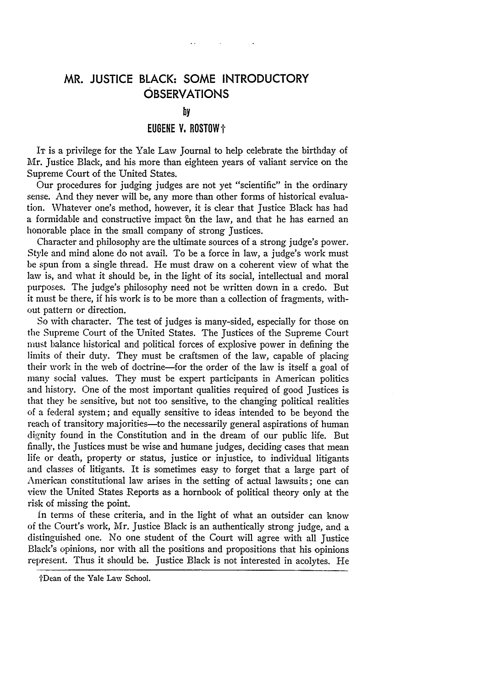## MR. **JUSTICE** BLACK: **SOME** INTRODUCTORY **OBSERVATIONS**

## **by**

## **EUGENE V. ROSTOW+**

IT is a privilege for the Yale Law Journal to help celebrate the birthday of Mr. Justice Black, and his more than eighteen years of valiant service on the Supreme Court of the United States.

Our procedures for judging judges are not yet "scientific" in the ordinary sense. And they never will be, any more than other forms of historical evaluation. Whatever one's method, however, it is clear that Justice Black has had a formidable and constructive impact bn the law, and that he has earned an honorable place in the small company of strong Justices.

Character and philosophy are the ultimate sources of a strong judge's power. Style and mind alone do not avail. To be a force in law, a judge's work must be spun from a single thread. He must draw on a coherent view of what the law is, and what it should be, in the light of its social, intellectual and moral purposes. The judge's philosophy need not be written down in a credo. But it must be there, if his work is to be more than a collection of fragments, without pattern or direction.

So with character. The test of judges is many-sided, especially for those on the Supreme Court of the United States. The Justices of the Supreme Court nust balance historical and political forces of explosive power in defining the limits of their duty. They must be craftsmen of the law, capable of placing their work in the web of doctrine-for the order of the law is itself a goal of many social values. They must be expert participants in American politics and history. One of the most important qualities required of good Justices is that they be sensitive, but not too sensitive, to the changing political realities of a federal system; and equally sensitive to ideas intended to be beyond the reach of transitory majorities-to the necessarily general aspirations of human dignity found in the Constitution and in the dream of our public life. But finally, the justices must be wise and humane judges, deciding cases that mean life or death, property or status, justice or injustice, to individual litigants and classes of litigants. It is sometimes easy to forget that a large part of American constitutional law arises in the setting of actual lawsuits; one can view the United States Reports as a hornbook of political theory only at the risk of missing the point.

In terms of these criteria, and in the light of what an outsider can know of the Court's work, Mr. Justice Black is an authentically strong judge, and a distinguished one. No one student of the Court will agree with all Justice Black's opinions, nor with all the positions and propositions that his opinions represent. Thus it should be. Justice Black is not interested in acolytes. He

IrDean of the Yale Law School.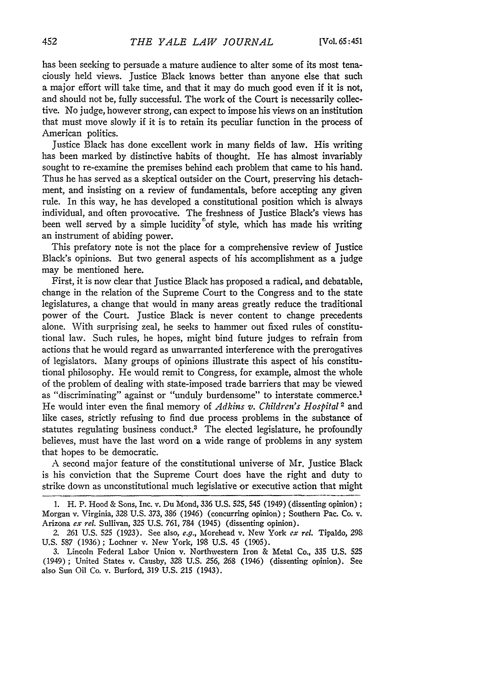has been seeking to persuade a mature audience to alter some of its most tenaciously held views. Justice Black knows better than anyone else that such a major effort will take time, and that it may do much good even if it is not, and should not be, fully successful. The work of the Court is necessarily collective. No judge, however strong, can expect to impose his views on an institution that must move slowly if it is to retain its peculiar function in the process of American politics.

Justice Black has done excellent work in many fields of law. His writing has been marked by distinctive habits of thought. He has almost invariably sought to re-examine the premises behind each problem that came to his hand. Thus he has served as a skeptical outsider on the Court, preserving his detachment, and insisting on a review of fundamentals, before accepting any given rule. In this way, he has developed a constitutional position which is always individual, and often provocative. The freshness of Justice Black's views has been well served by a simple lucidity<sup>o</sup> of style, which has made his writing an instrument of abiding power.

This prefatory note is not the place for a comprehensive review of Justice Black's opinions. But two general aspects of his accomplishment as a judge may be mentioned here.

First, it is now clear that Justice Black has proposed a radical, and debatable, change in the relation of the Supreme Court to the Congress and to the state legislatures, a change that would in many areas greatly reduce the traditional power of the Court. Justice Black is never content to change precedents alone. With surprising zeal, he seeks to hammer out fixed rules of constitutional law. Such rules, he hopes, might bind future judges to refrain from actions that he would regard as unwarranted interference with the prerogatives of legislators. Many groups of opinions illustrate this aspect of his constitutional philosophy. He would remit to Congress, for example, almost the whole of the problem of dealing with state-imposed trade barriers that may be viewed as "discriminating" against or "unduly burdensome" to interstate commerce.<sup>1</sup> He would inter even the final memory of *Adkins v. Children's Hospital 2* and like cases, strictly refusing to find due process problems in the substance of statutes regulating business conduct.<sup>3</sup> The elected legislature, he profoundly believes, must have the last word on a wide range of problems in any system that hopes to be democratic.

A second major feature of the constitutional universe of Mr. Justice Black is his conviction that the Supreme Court does have the right and duty to strike down as unconstitutional much legislative or executive action that might

<sup>1.</sup> H. P. Hood & Sons, Inc. v. Du Mond, 336 U.S. 525, 545 (1949) (dissenting opinion) **;** Morgan v. Virginia, 328 **U.S.** 373, **386** (1946) (concurring opinion) ; Southern Pac. Co. v. Arizona *ex rel.* Sullivan, 325 U.S. 761, 784 (1945) (dissenting opinion).

<sup>2. 261</sup> U.S. **525** (1923). See also, e.g., Morehead v. New York *ex rel.* Tipaldo, 298 U.S. 587 (1936); Lochner v. New York, 198 U.S. 45 (1905).

<sup>3.</sup> Lincoln Federal Labor Union v. Northwestern Iron & Metal Co., 335 U.S. 525 (1949); United States v. Causby, 328 U.S. *256, 268* (1946) (dissenting opinion). See also Sun Oil Co. v. Burford, 319 U.S. 215 (1943).